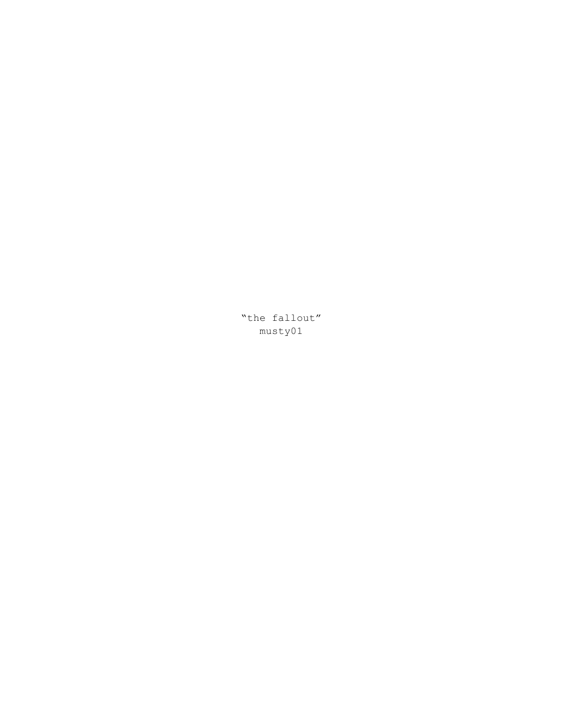"the fallout" musty01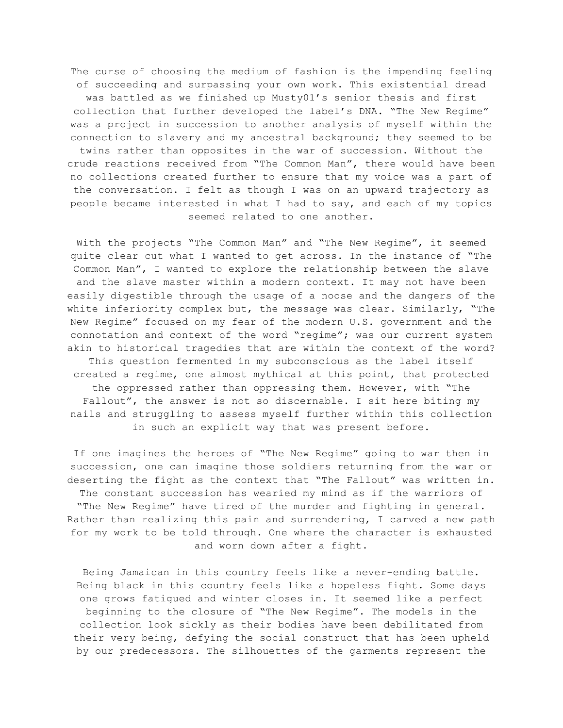The curse of choosing the medium of fashion is the impending feeling of succeeding and surpassing your own work. This existential dread was battled as we finished up Musty01's senior thesis and first collection that further developed the label's DNA. "The New Regime" was a project in succession to another analysis of myself within the connection to slavery and my ancestral background; they seemed to be twins rather than opposites in the war of succession. Without the crude reactions received from "The Common Man", there would have been no collections created further to ensure that my voice was a part of the conversation. I felt as though I was on an upward trajectory as people became interested in what I had to say, and each of my topics seemed related to one another.

With the projects "The Common Man" and "The New Regime", it seemed quite clear cut what I wanted to get across. In the instance of "The Common Man", I wanted to explore the relationship between the slave and the slave master within a modern context. It may not have been easily digestible through the usage of a noose and the dangers of the white inferiority complex but, the message was clear. Similarly, "The New Regime" focused on my fear of the modern U.S. government and the connotation and context of the word "regime"; was our current system akin to historical tragedies that are within the context of the word? This question fermented in my subconscious as the label itself created a regime, one almost mythical at this point, that protected the oppressed rather than oppressing them. However, with "The Fallout", the answer is not so discernable. I sit here biting my nails and struggling to assess myself further within this collection in such an explicit way that was present before.

If one imagines the heroes of "The New Regime" going to war then in succession, one can imagine those soldiers returning from the war or deserting the fight as the context that "The Fallout" was written in. The constant succession has wearied my mind as if the warriors of "The New Regime" have tired of the murder and fighting in general. Rather than realizing this pain and surrendering, I carved a new path for my work to be told through. One where the character is exhausted and worn down after a fight.

Being Jamaican in this country feels like a never-ending battle. Being black in this country feels like a hopeless fight. Some days one grows fatigued and winter closes in. It seemed like a perfect beginning to the closure of "The New Regime". The models in the collection look sickly as their bodies have been debilitated from their very being, defying the social construct that has been upheld by our predecessors. The silhouettes of the garments represent the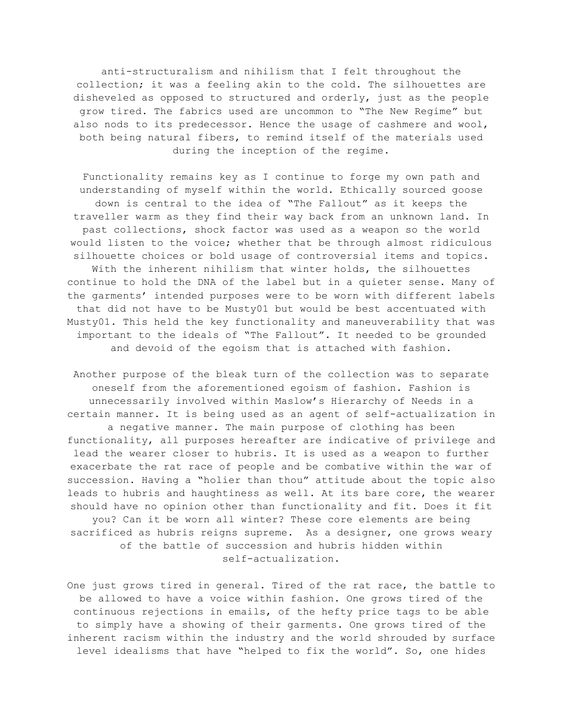anti-structuralism and nihilism that I felt throughout the collection; it was a feeling akin to the cold. The silhouettes are disheveled as opposed to structured and orderly, just as the people grow tired. The fabrics used are uncommon to "The New Regime" but also nods to its predecessor. Hence the usage of cashmere and wool, both being natural fibers, to remind itself of the materials used during the inception of the regime.

Functionality remains key as I continue to forge my own path and understanding of myself within the world. Ethically sourced goose down is central to the idea of "The Fallout" as it keeps the traveller warm as they find their way back from an unknown land. In past collections, shock factor was used as a weapon so the world would listen to the voice; whether that be through almost ridiculous silhouette choices or bold usage of controversial items and topics. With the inherent nihilism that winter holds, the silhouettes continue to hold the DNA of the label but in a quieter sense. Many of the garments' intended purposes were to be worn with different labels that did not have to be Musty01 but would be best accentuated with Musty01. This held the key functionality and maneuverability that was important to the ideals of "The Fallout". It needed to be grounded and devoid of the egoism that is attached with fashion.

Another purpose of the bleak turn of the collection was to separate oneself from the aforementioned egoism of fashion. Fashion is unnecessarily involved within Maslow's Hierarchy of Needs in a certain manner. It is being used as an agent of self-actualization in a negative manner. The main purpose of clothing has been functionality, all purposes hereafter are indicative of privilege and lead the wearer closer to hubris. It is used as a weapon to further exacerbate the rat race of people and be combative within the war of succession. Having a "holier than thou" attitude about the topic also leads to hubris and haughtiness as well. At its bare core, the wearer should have no opinion other than functionality and fit. Does it fit you? Can it be worn all winter? These core elements are being sacrificed as hubris reigns supreme. As a designer, one grows weary of the battle of succession and hubris hidden within self-actualization.

One just grows tired in general. Tired of the rat race, the battle to be allowed to have a voice within fashion. One grows tired of the continuous rejections in emails, of the hefty price tags to be able to simply have a showing of their garments. One grows tired of the inherent racism within the industry and the world shrouded by surface level idealisms that have "helped to fix the world". So, one hides